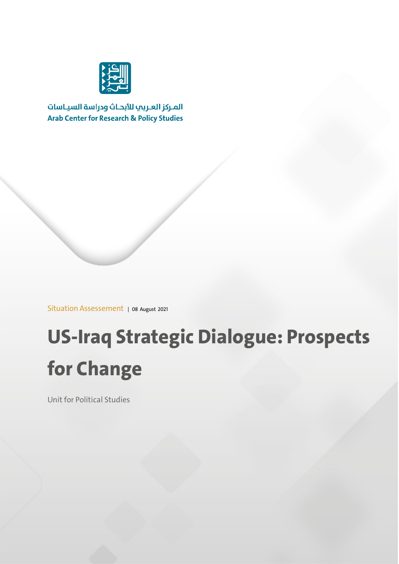

المركز العربب للأبحاث ودراسة السياسات **Arab Center for Research & Policy Studies** 

Situation Assessement | 08 August 2021

# **US-Iraq Strategic Dialogue: Prospects for Change**

Unit for Political Studies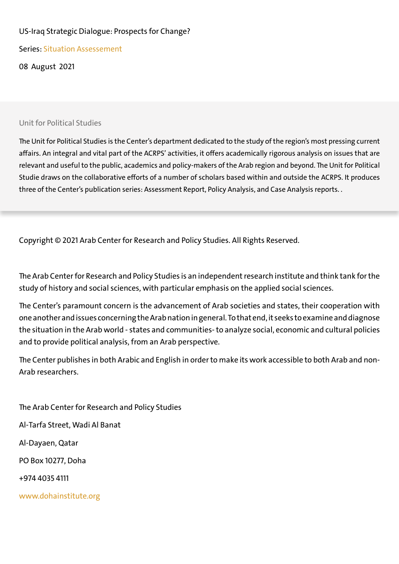#### US-Iraq Strategic Dialogue: Prospects for Change?

Series: Situation Assessement

08 August 2021

#### Unit for Political Studies

The Unit for Political Studies is the Center's department dedicated to the study of the region's most pressing current affairs. An integral and vital part of the ACRPS' activities, it offers academically rigorous analysis on issues that are relevant and useful to the public, academics and policy-makers of the Arab region and beyond. The Unit for Political Studie draws on the collaborative efforts of a number of scholars based within and outside the ACRPS. It produces three of the Center's publication series: Assessment Report, Policy Analysis, and Case Analysis reports. .

Copyright © 2021 Arab Center for Research and Policy Studies. All Rights Reserved.

The Arab Center for Research and Policy Studies is an independent research institute and think tank for the study of history and social sciences, with particular emphasis on the applied social sciences.

The Center's paramount concern is the advancement of Arab societies and states, their cooperation with one another and issues concerning the Arab nation in general. To that end, it seeks to examine and diagnose the situation in the Arab world - states and communities- to analyze social, economic and cultural policies and to provide political analysis, from an Arab perspective.

The Center publishes in both Arabic and English in order to make its work accessible to both Arab and non-Arab researchers.

The Arab Center for Research and Policy Studies Al-Tarfa Street, Wadi Al Banat Al-Dayaen, Qatar PO Box 10277, Doha +974 4035 4111 www.dohainstitute.org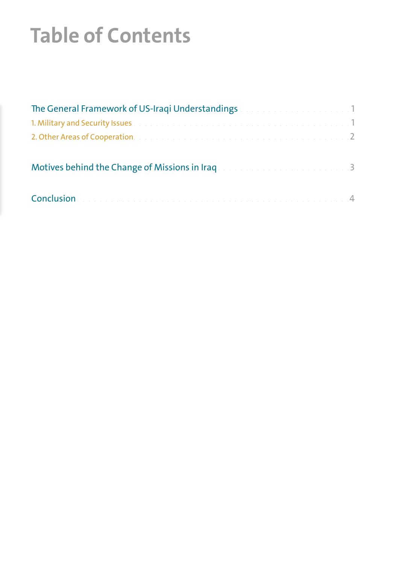# **Table of Contents**

| The General Framework of US-Iraqi Understandings and a constrained and 1                            |  |
|-----------------------------------------------------------------------------------------------------|--|
| 1. Military and Security Issues and a construction of the construction of the construction of the 1 |  |
| 2. Other Areas of Cooperation and a construction of the construction of the construction of 2       |  |
| Motives behind the Change of Missions in Iraq and a substitution of the 1990 3                      |  |
|                                                                                                     |  |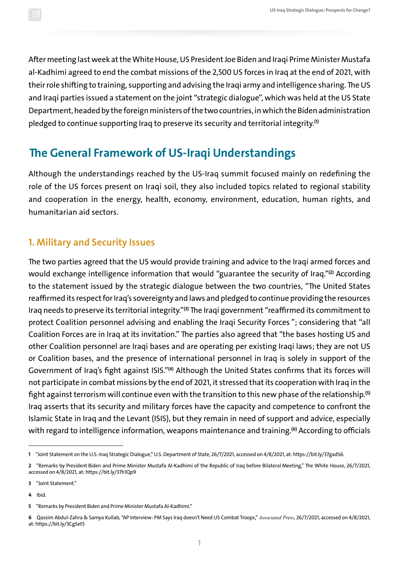<span id="page-3-0"></span>After meeting last week at the White House, US President Joe Biden and Iraqi Prime Minister Mustafa al-Kadhimi agreed to end the combat missions of the 2,500 US forces in Iraq at the end of 2021, with their role shifting to training, supporting and advising the Iraqi army and intelligence sharing. The US and Iraqi parties issued a statement on the joint "strategic dialogue", which was held at the US State Department, headed by the foreign ministers of the two countries, in which the Biden administration pledged to continue supporting Iraq to preserve its security and territorial integrity.**(1)**

## **The General Framework of US-Iraqi Understandings**

Although the understandings reached by the US-Iraq summit focused mainly on redefining the role of the US forces present on Iraqi soil, they also included topics related to regional stability and cooperation in the energy, health, economy, environment, education, human rights, and humanitarian aid sectors.

### **1. Military and Security Issues**

The two parties agreed that the US would provide training and advice to the Iraqi armed forces and would exchange intelligence information that would "guarantee the security of Iraq."**(2)** According to the statement issued by the strategic dialogue between the two countries, "The United States reaffirmed its respect for Iraq's sovereignty and laws and pledged to continue providing the resources Iraq needs to preserve its territorial integrity."**(3)** The Iraqi government "reaffirmed its commitment to protect Coalition personnel advising and enabling the Iraqi Security Forces "; considering that "all Coalition Forces are in Iraq at its invitation." The parties also agreed that "the bases hosting US and other Coalition personnel are Iraqi bases and are operating per existing Iraqi laws; they are not US or Coalition bases, and the presence of international personnel in Iraq is solely in support of the Government of Iraq's fight against ISIS."**(4)** Although the United States confirms that its forces will not participate in combat missions by the end of 2021, it stressed that its cooperation with Iraq in the fight against terrorism will continue even with the transition to this new phase of the relationship.**(5)** Iraq asserts that its security and military forces have the capacity and competence to confront the Islamic State in Iraq and the Levant (ISIS), but they remain in need of support and advice, especially with regard to intelligence information, weapons maintenance and training.**(6)** According to officials

**4** Ibid.

**<sup>1</sup>** "Joint Statement on the U.S.-Iraq Strategic Dialogue," U.S. Department of State, 26/7/2021, accessed on 4/8/2021, at:<https://bit.ly/37gadS6>.

**<sup>2</sup>** "Remarks by President Biden and Prime Minister Mustafa Al-Kadhimi of the Republic of Iraq before Bilateral Meeting," The White House, 26/7/2021, accessed on 4/8/2021, at: <https://bit.ly/37h1Qp9>

**<sup>3</sup>** "Joint Statement."

**<sup>5</sup>** "Remarks by President Biden and Prime Minister Mustafa Al-Kadhimi."

**<sup>6</sup>** Qassim Abdul-Zahra & Samya Kullab, "AP Interview: PM Says Iraq doesn't Need US Combat Troops," *Associated Press*, 26/7/2021, accessed on 4/8/2021, at:<https://bit.ly/3CgSet5>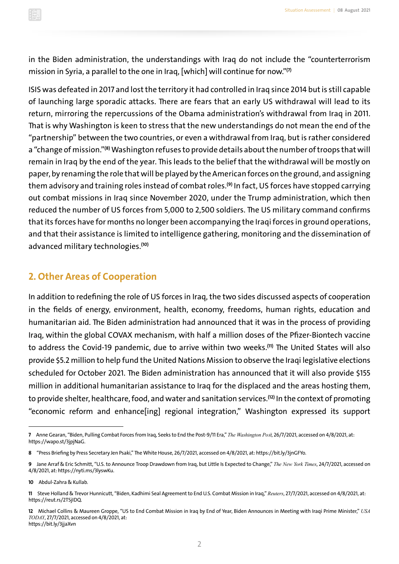<span id="page-4-0"></span>

in the Biden administration, the understandings with Iraq do not include the "counterterrorism mission in Syria, a parallel to the one in Iraq, [which] will continue for now."**(7)**

ISIS was defeated in 2017 and lost the territory it had controlled in Iraq since 2014 but is still capable of launching large sporadic attacks. There are fears that an early US withdrawal will lead to its return, mirroring the repercussions of the Obama administration's withdrawal from Iraq in 2011. That is why Washington is keen to stress that the new understandings do not mean the end of the "partnership" between the two countries, or even a withdrawal from Iraq, but is rather considered a "change of mission."**(8)** Washington refuses to provide details about the number of troops that will remain in Iraq by the end of the year. This leads to the belief that the withdrawal will be mostly on paper, by renaming the role that will be played by the American forces on the ground, and assigning them advisory and training roles instead of combat roles.**(9)** In fact, US forces have stopped carrying out combat missions in Iraq since November 2020, under the Trump administration, which then reduced the number of US forces from 5,000 to 2,500 soldiers. The US military command confirms that its forces have for months no longer been accompanying the Iraqi forces in ground operations, and that their assistance is limited to intelligence gathering, monitoring and the dissemination of advanced military technologies.**(10)**

#### **2. Other Areas of Cooperation**

In addition to redefining the role of US forces in Iraq, the two sides discussed aspects of cooperation in the fields of energy, environment, health, economy, freedoms, human rights, education and humanitarian aid. The Biden administration had announced that it was in the process of providing Iraq, within the global COVAX mechanism, with half a million doses of the Pfizer-Biontech vaccine to address the Covid-19 pandemic, due to arrive within two weeks.**(11)** The United States will also provide \$5.2 million to help fund the United Nations Mission to observe the Iraqi legislative elections scheduled for October 2021. The Biden administration has announced that it will also provide \$155 million in additional humanitarian assistance to Iraq for the displaced and the areas hosting them, to provide shelter, healthcare, food, and water and sanitation services.**(12)** In the context of promoting "economic reform and enhance[ing] regional integration," Washington expressed its support

**<sup>7</sup>** Anne Gearan, "Biden, Pulling Combat Forces from Iraq, Seeks to End the Post-9/11 Era," *The Washington Post*, 26/7/2021, accessed on 4/8/2021, at: [https://wapo.st/3jpjNaG.](https://wapo.st/3jpjNaG)

**<sup>8</sup>** "Press Briefing by Press Secretary Jen Psaki," The White House, 26/7/2021, accessed on 4/8/2021, at:<https://bit.ly/3jnGFYo>.

**<sup>9</sup>** Jane Arraf & Eric Schmitt, "U.S. to Announce Troop Drawdown from Iraq, but Little Is Expected to Change," *The New York Times*, 24/7/2021, accessed on 4/8/2021, at: [https://nyti.ms/3lyswKu.](https://nyti.ms/3lyswKu)

**<sup>10</sup>** Abdul-Zahra & Kullab.

**<sup>11</sup>** Steve Holland & Trevor Hunnicutt, "Biden, Kadhimi Seal Agreement to End U.S. Combat Mission in Iraq," *Reuters*, 27/7/2021, accessed on 4/8/2021, at: [https://reut.rs/2TSjIDQ.](https://reut.rs/2TSjIDQ)

**<sup>12</sup>** Michael Collins & Maureen Groppe, "US to End Combat Mission in Iraq by End of Year, Biden Announces in Meeting with Iraqi Prime Minister," *USA TODAY*, 27/7/2021, accessed on 4/8/2021, at: <https://bit.ly/3jjaXvn>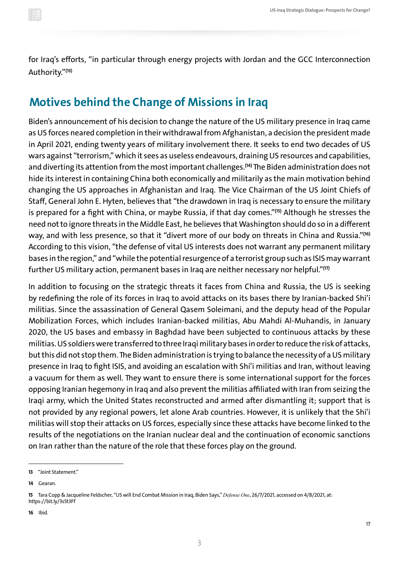<span id="page-5-0"></span>for Iraq's efforts, "in particular through energy projects with Jordan and the GCC Interconnection Authority."**(13)**

### **Motives behind the Change of Missions in Iraq**

Biden's announcement of his decision to change the nature of the US military presence in Iraq came as US forces neared completion in their withdrawal from Afghanistan, a decision the president made in April 2021, ending twenty years of military involvement there. It seeks to end two decades of US wars against "terrorism," which it sees as useless endeavours, draining US resources and capabilities, and diverting its attention from the most important challenges.**(14)** The Biden administration does not hide its interest in containing China both economically and militarily as the main motivation behind changing the US approaches in Afghanistan and Iraq. The Vice Chairman of the US Joint Chiefs of Staff, General John E. Hyten, believes that "the drawdown in Iraq is necessary to ensure the military is prepared for a fight with China, or maybe Russia, if that day comes."**(15)** Although he stresses the need not to ignore threats in the Middle East, he believes that Washington should do so in a different way, and with less presence, so that it "divert more of our body on threats in China and Russia."**(16)** According to this vision, "the defense of vital US interests does not warrant any permanent military bases in the region," and "while the potential resurgence of a terrorist group such as ISIS may warrant further US military action, permanent bases in Iraq are neither necessary nor helpful."**(17)**

In addition to focusing on the strategic threats it faces from China and Russia, the US is seeking by redefining the role of its forces in Iraq to avoid attacks on its bases there by Iranian-backed Shi'i militias. Since the assassination of General Qasem Soleimani, and the deputy head of the Popular Mobilization Forces, which includes Iranian-backed militias, Abu Mahdi Al-Muhandis, in January 2020, the US bases and embassy in Baghdad have been subjected to continuous attacks by these militias. US soldiers were transferred to three Iraqi military bases in order to reduce the risk of attacks, but this did not stop them. The Biden administration is trying to balance the necessity of a US military presence in Iraq to fight ISIS, and avoiding an escalation with Shi'i militias and Iran, without leaving a vacuum for them as well. They want to ensure there is some international support for the forces opposing Iranian hegemony in Iraq and also prevent the militias affiliated with Iran from seizing the Iraqi army, which the United States reconstructed and armed after dismantling it; support that is not provided by any regional powers, let alone Arab countries. However, it is unlikely that the Shi'i militias will stop their attacks on US forces, especially since these attacks have become linked to the results of the negotiations on the Iranian nuclear deal and the continuation of economic sanctions on Iran rather than the nature of the role that these forces play on the ground.

**<sup>13</sup>** "Joint Statement."

**<sup>14</sup>** Gearan.

**<sup>15</sup>** Tara Copp & Jacqueline Feldscher, "US will End Combat Mission in Iraq, Biden Says," *Defense One*, 26/7/2021, accessed on 4/8/2021, at: <https://bit.ly/3s5t3Ff>

**<sup>16</sup>** Ibid.